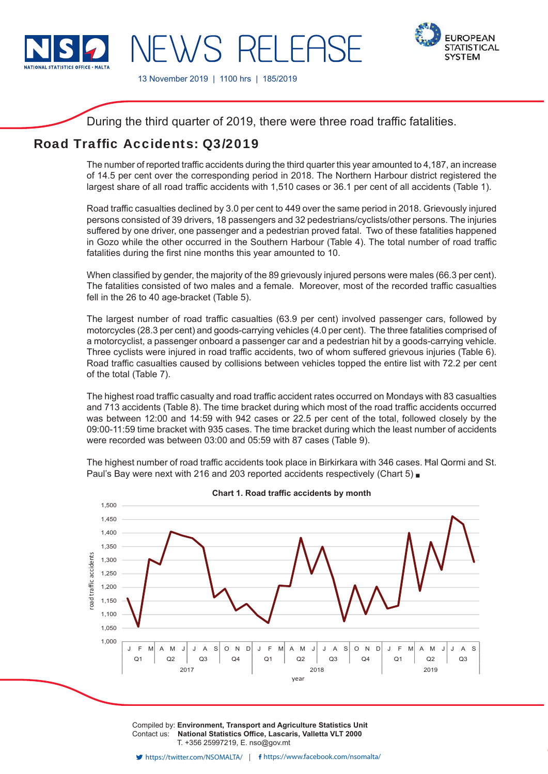

**FUROPEAN STATISTICAL SYSTEM** 

13 November 2019 | 1100 hrs | 185/2019

**IFWS RELEAS** 

During the third quarter of 2019, there were three road traffic fatalities.

# Road Traffic Accidents: 03/2019

The number of reported traffic accidents during the third quarter this year amounted to 4,187, an increase of 14.5 per cent over the corresponding period in 2018. The Northern Harbour district registered the largest share of all road traffic accidents with 1,510 cases or 36.1 per cent of all accidents (Table 1).

Road traffic casualties declined by 3.0 per cent to 449 over the same period in 2018. Grievously injured persons consisted of 39 drivers, 18 passengers and 32 pedestrians/cyclists/other persons. The injuries suffered by one driver, one passenger and a pedestrian proved fatal. Two of these fatalities happened in Gozo while the other occurred in the Southern Harbour (Table 4). The total number of road traffic fatalities during the first nine months this year amounted to 10.

When classified by gender, the majority of the 89 grievously injured persons were males (66.3 per cent). The fatalities consisted of two males and a female. Moreover, most of the recorded traffic casualties fell in the 26 to 40 age-bracket (Table 5).

The largest number of road traffic casualties (63.9 per cent) involved passenger cars, followed by motorcycles (28.3 per cent) and goods-carrying vehicles (4.0 per cent). The three fatalities comprised of a motorcyclist, a passenger onboard a passenger car and a pedestrian hit by a goods-carrying vehicle. Three cyclists were injured in road traffic accidents, two of whom suffered grievous injuries (Table 6). Road traffic casualties caused by collisions between vehicles topped the entire list with 72.2 per cent of the total (Table 7).

The highest road traffic casualty and road traffic accident rates occurred on Mondays with 83 casualties and 713 accidents (Table 8). The time bracket during which most of the road traffic accidents occurred was between 12:00 and 14:59 with 942 cases or 22.5 per cent of the total, followed closely by the 09:00-11:59 time bracket with 935 cases. The time bracket during which the least number of accidents were recorded was between 03:00 and 05:59 with 87 cases (Table 9).

The highest number of road traffic accidents took place in Birkirkara with 346 cases. Hal Qormi and St. Paul's Bay were next with 216 and 203 reported accidents respectively (Chart 5)



**Chart 1. Road traffic accidents by month** 

Compiled by: **Environment, Transport and Agriculture Statistics Unit** Contact us: National Statistics Office, Lascaris, Valletta VLT 2000 T. +356 25997219, E. nso@gov.mt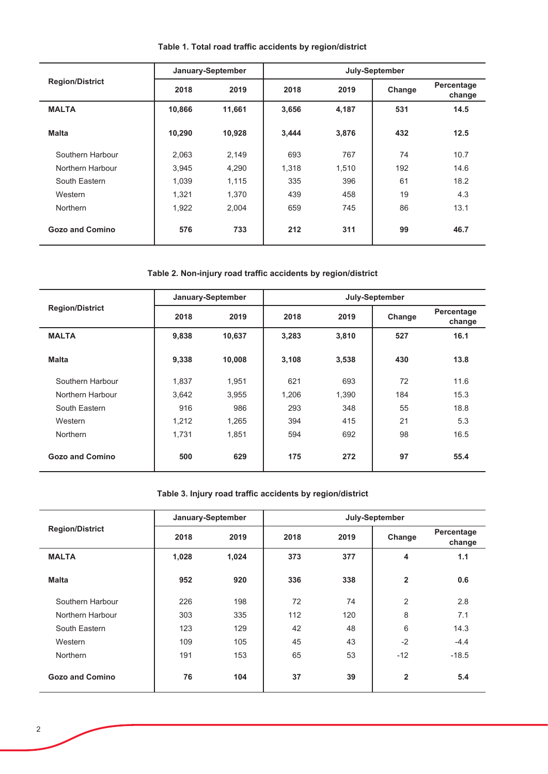|                        |        | January-September |       |       | July-September |                      |
|------------------------|--------|-------------------|-------|-------|----------------|----------------------|
| <b>Region/District</b> | 2018   | 2019              | 2018  | 2019  | Change         | Percentage<br>change |
| <b>MALTA</b>           | 10,866 | 11,661            | 3,656 | 4,187 | 531            | 14.5                 |
| <b>Malta</b>           | 10,290 | 10,928            | 3,444 | 3,876 | 432            | 12.5                 |
| Southern Harbour       | 2,063  | 2,149             | 693   | 767   | 74             | 10.7                 |
| Northern Harbour       | 3,945  | 4,290             | 1.318 | 1,510 | 192            | 14.6                 |
| South Eastern          | 1,039  | 1,115             | 335   | 396   | 61             | 18.2                 |
| Western                | 1.321  | 1,370             | 439   | 458   | 19             | 4.3                  |
| <b>Northern</b>        | 1,922  | 2,004             | 659   | 745   | 86             | 13.1                 |
| <b>Gozo and Comino</b> | 576    | 733               | 212   | 311   | 99             | 46.7                 |

# Table 1. Total road traffic accidents by region/district

# Table 2. Non-injury road traffic accidents by region/district

|                        |       | January-September |       |       | July-September |                      |
|------------------------|-------|-------------------|-------|-------|----------------|----------------------|
| <b>Region/District</b> | 2018  | 2019              | 2018  | 2019  | Change         | Percentage<br>change |
| <b>MALTA</b>           | 9,838 | 10,637            | 3,283 | 3,810 | 527            | 16.1                 |
| <b>Malta</b>           | 9,338 | 10,008            | 3,108 | 3,538 | 430            | 13.8                 |
| Southern Harbour       | 1,837 | 1,951             | 621   | 693   | 72             | 11.6                 |
| Northern Harbour       | 3,642 | 3,955             | 1,206 | 1,390 | 184            | 15.3                 |
| South Eastern          | 916   | 986               | 293   | 348   | 55             | 18.8                 |
| Western                | 1,212 | 1,265             | 394   | 415   | 21             | 5.3                  |
| <b>Northern</b>        | 1,731 | 1,851             | 594   | 692   | 98             | 16.5                 |
| Gozo and Comino        | 500   | 629               | 175   | 272   | 97             | 55.4                 |

# Table 3. Injury road traffic accidents by region/district

|                        |       | January-September |      |      | July-September |                      |
|------------------------|-------|-------------------|------|------|----------------|----------------------|
| <b>Region/District</b> | 2018  | 2019              | 2018 | 2019 | Change         | Percentage<br>change |
| <b>MALTA</b>           | 1,028 | 1,024             | 373  | 377  | 4              | 1.1                  |
| <b>Malta</b>           | 952   | 920               | 336  | 338  | $\overline{2}$ | 0.6                  |
| Southern Harbour       | 226   | 198               | 72   | 74   | 2              | 2.8                  |
| Northern Harbour       | 303   | 335               | 112  | 120  | 8              | 7.1                  |
| South Eastern          | 123   | 129               | 42   | 48   | 6              | 14.3                 |
| Western                | 109   | 105               | 45   | 43   | $-2$           | $-4.4$               |
| <b>Northern</b>        | 191   | 153               | 65   | 53   | $-12$          | $-18.5$              |
| <b>Gozo and Comino</b> | 76    | 104               | 37   | 39   | $\overline{2}$ | 5.4                  |

l,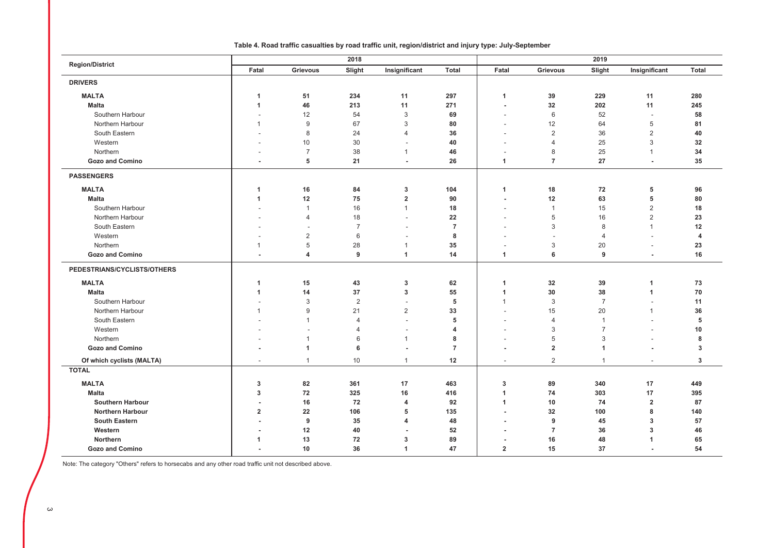| <b>Region/District</b>      |                          |                          | 2018           |                          |                |                          |                | 2019                 |                          |                |  |  |
|-----------------------------|--------------------------|--------------------------|----------------|--------------------------|----------------|--------------------------|----------------|----------------------|--------------------------|----------------|--|--|
|                             | Fatal                    | <b>Grievous</b>          | Slight         | Insignificant            | <b>Total</b>   | Fatal                    | Grievous       | Slight               | Insignificant            | <b>Total</b>   |  |  |
| <b>DRIVERS</b>              |                          |                          |                |                          |                |                          |                |                      |                          |                |  |  |
| <b>MALTA</b>                | 1                        | 51                       | 234            | 11                       | 297            | $\overline{1}$           | 39             | 229                  | 11                       | 280            |  |  |
| <b>Malta</b>                | 1                        | 46                       | 213            | 11                       | 271            | $\blacksquare$           | 32             | 202                  | 11                       | 245            |  |  |
| Southern Harbour            |                          | 12                       | 54             | $\mathbf{3}$             | 69             | $\overline{\phantom{a}}$ | 6              | 52                   | $\overline{\phantom{a}}$ | 58             |  |  |
| Northern Harbour            | $\mathbf{1}$             | 9                        | 67             | 3                        | 80             | $\overline{\phantom{a}}$ | 12             | 64                   | 5                        | 81             |  |  |
| South Eastern               | $\overline{\phantom{a}}$ | $\,8\,$                  | 24             | $\overline{4}$           | 36             | ٠                        | $\overline{2}$ | 36                   | $\overline{2}$           | 40             |  |  |
| Western                     |                          | 10                       | 30             | $\overline{\phantom{a}}$ | 40             | -                        | $\overline{4}$ | 25                   | 3                        | 32             |  |  |
| Northern                    |                          | $\overline{7}$           | 38             | $\mathbf{1}$             | 46             | $\overline{\phantom{a}}$ | 8              | 25                   | $\mathbf 1$              | 34             |  |  |
| <b>Gozo and Comino</b>      |                          | 5                        | 21             | ÷,                       | 26             | $\overline{1}$           | $\overline{7}$ | 27                   | $\sim$                   | 35             |  |  |
| <b>PASSENGERS</b>           |                          |                          |                |                          |                |                          |                |                      |                          |                |  |  |
| <b>MALTA</b>                | 1                        | 16                       | 84             | 3                        | 104            | $\overline{1}$           | 18             | 72                   | 5                        | 96             |  |  |
| <b>Malta</b>                | 1                        | 12                       | 75             | $\overline{2}$           | 90             | $\overline{\phantom{a}}$ | 12             | 63                   | 5                        | 80             |  |  |
| Southern Harbour            |                          | $\overline{1}$           | 16             | $\mathbf{1}$             | 18             | $\overline{\phantom{a}}$ | $\overline{1}$ | 15                   | $\sqrt{2}$               | 18             |  |  |
| Northern Harbour            |                          | $\overline{4}$           | 18             | $\overline{\phantom{a}}$ | 22             | $\overline{\phantom{a}}$ | 5              | 16                   | $\overline{2}$           | 23             |  |  |
| South Eastern               |                          | $\overline{\phantom{a}}$ | $\overline{7}$ | $\overline{\phantom{a}}$ | $\overline{7}$ |                          | 3              | 8                    | $\mathbf{1}$             | 12             |  |  |
| Western                     |                          | $\overline{2}$           | 6              | $\overline{\phantom{a}}$ | 8              |                          |                | $\overline{4}$       |                          | $\overline{4}$ |  |  |
| Northern                    | $\overline{1}$           | 5                        | 28             | $\overline{1}$           | 35             | $\overline{\phantom{a}}$ | 3              | 20                   | $\overline{\phantom{a}}$ | 23             |  |  |
| <b>Gozo and Comino</b>      | ÷.                       | $\overline{4}$           | 9              | $\mathbf{1}$             | 14             | $\mathbf{1}$             | 6              | 9                    | $\sim$                   | 16             |  |  |
| PEDESTRIANS/CYCLISTS/OTHERS |                          |                          |                |                          |                |                          |                |                      |                          |                |  |  |
| <b>MALTA</b>                | $\mathbf{1}$             | 15                       | 43             | 3                        | 62             | $\overline{1}$           | 32             | 39                   | 1                        | 73             |  |  |
| <b>Malta</b>                | 1                        | 14                       | 37             | $\mathbf 3$              | 55             | $\mathbf{1}$             | 30             | 38                   | $\blacktriangleleft$     | 70             |  |  |
| Southern Harbour            | $\overline{\phantom{a}}$ | $\mathbf{3}$             | $\overline{2}$ | $\overline{\phantom{a}}$ | 5              | $\overline{1}$           | $\mathbf{3}$   | $\overline{7}$       |                          | 11             |  |  |
| Northern Harbour            | $\overline{1}$           | 9                        | 21             | $\overline{2}$           | 33             | $\overline{\phantom{a}}$ | 15             | 20                   | $\mathbf{1}$             | 36             |  |  |
| South Eastern               |                          | $\mathbf{1}$             | $\overline{4}$ |                          | 5              |                          | $\overline{4}$ | -1                   |                          | 5              |  |  |
| Western                     |                          | $\blacksquare$           | $\overline{4}$ | $\overline{\phantom{a}}$ | $\overline{4}$ | $\overline{\phantom{a}}$ | $\mathbf{3}$   | $\overline{7}$       |                          | 10             |  |  |
| Northern                    |                          | $\mathbf{1}$             | 6              | $\overline{1}$           | 8              |                          | 5              | 3                    |                          | 8              |  |  |
| <b>Gozo and Comino</b>      |                          | 1                        | 6              | $\overline{\phantom{a}}$ | $\overline{7}$ | $\overline{\phantom{a}}$ | $\overline{2}$ | $\blacktriangleleft$ | ٠                        | 3              |  |  |
| Of which cyclists (MALTA)   |                          | $\mathbf{1}$             | 10             | $\overline{1}$           | 12             | $\overline{\phantom{a}}$ | $\overline{2}$ | $\mathbf{1}$         |                          | 3              |  |  |
| <b>TOTAL</b>                |                          |                          |                |                          |                |                          |                |                      |                          |                |  |  |
| <b>MALTA</b>                | 3                        | 82                       | 361            | 17                       | 463            | 3                        | 89             | 340                  | 17                       | 449            |  |  |
| <b>Malta</b>                | 3                        | 72                       | 325            | 16                       | 416            | $\mathbf{1}$             | 74             | 303                  | 17                       | 395            |  |  |
| <b>Southern Harbour</b>     | $\overline{\phantom{a}}$ | 16                       | 72             | $\overline{4}$           | 92             | $\overline{1}$           | 10             | 74                   | $\mathbf 2$              | 87             |  |  |
| <b>Northern Harbour</b>     | $\overline{\mathbf{2}}$  | 22                       | 106            | 5                        | 135            | ٠.                       | 32             | 100                  | 8                        | 140            |  |  |
| <b>South Eastern</b>        | $\blacksquare$           | 9                        | 35             | $\overline{4}$           | 48             | $\blacksquare$           | 9              | 45                   | 3                        | 57             |  |  |
| Western                     | $\blacksquare$           | 12                       | 40             | ÷                        | 52             |                          | $\overline{7}$ | 36                   | 3                        | 46             |  |  |
| Northern                    | 1                        | 13                       | 72             | 3                        | 89             | $\overline{\phantom{a}}$ | 16             | 48                   | 1                        | 65             |  |  |
| <b>Gozo and Comino</b>      |                          | 10                       | 36             | $\overline{1}$           | 47             | $\overline{2}$           | 15             | 37                   |                          | 54             |  |  |

### Table 4. Road traffic casualties by road traffic unit, region/district and injury type: July-September

Note: The category "Others" refers to horsecabs and any other road traffic unit not described above.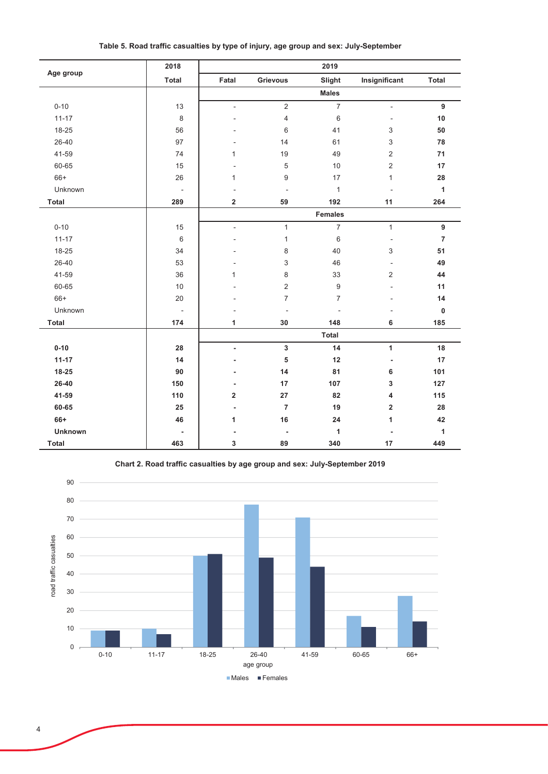|                | 2018                     |                          |                          | 2019                     |                              |                |
|----------------|--------------------------|--------------------------|--------------------------|--------------------------|------------------------------|----------------|
| Age group      | Total                    | Fatal                    | <b>Grievous</b>          | Slight                   | Insignificant                | Total          |
|                |                          |                          |                          | <b>Males</b>             |                              |                |
| $0 - 10$       | 13                       | $\overline{a}$           | $\overline{2}$           | $\overline{7}$           | $\frac{1}{2}$                | 9              |
| $11 - 17$      | $\,8\,$                  | L,                       | $\overline{4}$           | 6                        | ٠                            | 10             |
| 18-25          | 56                       | ۳                        | 6                        | 41                       | 3                            | 50             |
| 26-40          | 97                       |                          | 14                       | 61                       | 3                            | 78             |
| 41-59          | 74                       | 1                        | 19                       | 49                       | $\overline{c}$               | 71             |
| 60-65          | 15                       | L,                       | 5                        | 10                       | $\overline{c}$               | 17             |
| $66+$          | 26                       | 1                        | 9                        | 17                       | $\mathbf{1}$                 | 28             |
| Unknown        | $\blacksquare$           | ÷,                       | ÷,                       | $\mathbf{1}$             | $\overline{a}$               | $\mathbf{1}$   |
| <b>Total</b>   | 289                      | 2                        | 59                       | 192                      | 11                           | 264            |
|                |                          |                          |                          | <b>Females</b>           |                              |                |
| $0 - 10$       | 15                       | $\overline{\phantom{a}}$ | $\mathbf{1}$             | $\overline{7}$           | $\mathbf{1}$                 | 9              |
| $11 - 17$      | $\,6\,$                  | $\overline{a}$           | $\mathbf{1}$             | 6                        | $\qquad \qquad \blacksquare$ | $\overline{7}$ |
| 18-25          | 34                       |                          | 8                        | 40                       | 3                            | 51             |
| 26-40          | 53                       |                          | 3                        | 46                       | $\overline{\phantom{a}}$     | 49             |
| 41-59          | 36                       | 1                        | 8                        | 33                       | $\overline{c}$               | 44             |
| 60-65          | 10                       |                          | $\overline{2}$           | 9                        | ÷,                           | 11             |
| 66+            | 20                       |                          | $\overline{7}$           | $\overline{7}$           | ٠                            | 14             |
| Unknown        | $\overline{\phantom{a}}$ |                          | ÷,                       | $\overline{\phantom{a}}$ | ٠                            | $\mathbf 0$    |
| <b>Total</b>   | 174                      | 1                        | 30                       | 148                      | 6                            | 185            |
|                |                          |                          |                          | Total                    |                              |                |
| $0 - 10$       | 28                       | $\blacksquare$           | $\mathbf 3$              | 14                       | 1                            | 18             |
| $11 - 17$      | 14                       | Ĭ.                       | 5                        | 12                       | ÷,                           | 17             |
| 18-25          | 90                       | ٠                        | 14                       | 81                       | 6                            | 101            |
| 26-40          | 150                      | $\overline{\phantom{a}}$ | 17                       | 107                      | 3                            | 127            |
| 41-59          | 110                      | $\overline{\mathbf{2}}$  | 27                       | 82                       | 4                            | 115            |
| 60-65          | 25                       | Ĭ.                       | $\overline{7}$           | 19                       | $\overline{2}$               | 28             |
| 66+            | 46                       | 1                        | 16                       | 24                       | 1                            | 42             |
| <b>Unknown</b> |                          |                          | $\overline{\phantom{a}}$ | 1                        | ÷,                           | 1              |
| <b>Total</b>   | 463                      | 3                        | 89                       | 340                      | 17                           | 449            |



Chart 2. Road traffic casualties by age group and sex: July-September 2019

■Males ■Females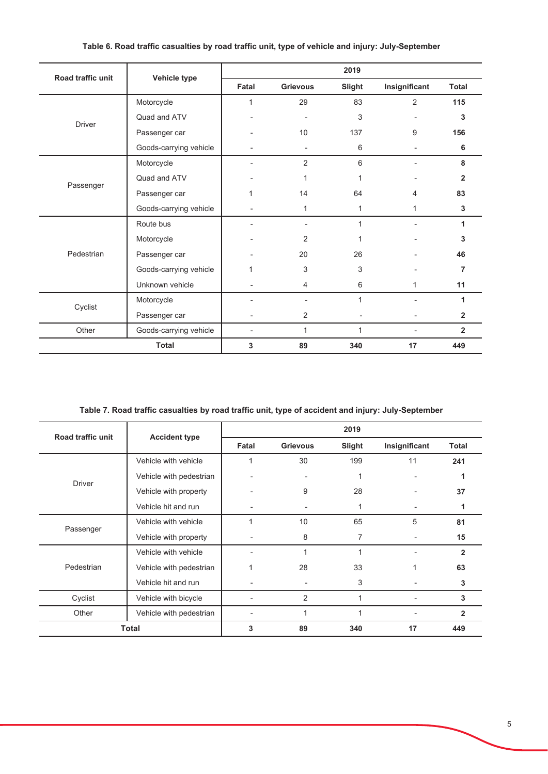| Road traffic unit |                        |       |                 | 2019   |                |                |
|-------------------|------------------------|-------|-----------------|--------|----------------|----------------|
|                   | Vehicle type           | Fatal | <b>Grievous</b> | Slight | Insignificant  |                |
|                   | Motorcycle             | 1     | 29              | 83     | $\overline{2}$ | 115            |
| <b>Driver</b>     | Quad and ATV           |       | ٠               | 3      |                | 3              |
|                   | Passenger car          |       | 10              | 137    | 9              | 156            |
|                   | Goods-carrying vehicle |       | ٠               | 6      | $\blacksquare$ | 6              |
|                   | Motorcycle             |       | 2               | 6      |                | 8              |
|                   | Quad and ATV           |       | 1               | 1      |                | $\overline{2}$ |
| Passenger         | Passenger car          | 1     | 14              | 64     | 4              | 83             |
|                   | Goods-carrying vehicle |       | 1               | 1      | $\mathbf{1}$   | 3              |
|                   | Route bus              |       | $\blacksquare$  | 1      |                | 1              |
|                   | Motorcycle             |       | $\overline{2}$  | 1      |                | 3              |
| Pedestrian        | Passenger car          |       | 20              | 26     |                | 46             |
|                   | Goods-carrying vehicle |       | 3               | 3      |                | $\overline{7}$ |
|                   | Unknown vehicle        |       | 4               | 6      | $\mathbf{1}$   | 11             |
| Cyclist           | Motorcycle             |       | ٠               | 1      | ÷.             | 1              |
|                   | Passenger car          |       | 2               |        |                | $\overline{2}$ |
| Other             | Goods-carrying vehicle |       | 1               | 1      | $\blacksquare$ | $\overline{2}$ |
|                   | <b>Total</b>           | 3     | 89              | 340    | 17             | 449            |

## Table 6. Road traffic casualties by road traffic unit, type of vehicle and injury: July-September

Table 7. Road traffic casualties by road traffic unit, type of accident and injury: July-September

| Road traffic unit |                         |       |                 | 2019   |               |                |
|-------------------|-------------------------|-------|-----------------|--------|---------------|----------------|
|                   | <b>Accident type</b>    | Fatal | <b>Grievous</b> | Slight | Insignificant | <b>Total</b>   |
|                   | Vehicle with vehicle    | 1     | 30              | 199    | 11            | 241            |
| <b>Driver</b>     | Vehicle with pedestrian |       | $\blacksquare$  | 1      |               |                |
|                   | Vehicle with property   |       | 9               | 28     |               | 37             |
|                   | Vehicle hit and run     |       |                 | 1      |               | 1              |
|                   | Vehicle with vehicle    | 1     | 10              | 65     | 5             | 81             |
| Passenger         | Vehicle with property   | ٠     | 8               | 7      | ٠             | 15             |
|                   | Vehicle with vehicle    |       |                 | 4      |               | $\overline{2}$ |
| Pedestrian        | Vehicle with pedestrian |       | 28              | 33     | 1             | 63             |
|                   | Vehicle hit and run     |       |                 | 3      |               | 3              |
| Cyclist           | Vehicle with bicycle    |       | 2               | 1      |               | 3              |
| Other             | Vehicle with pedestrian |       |                 |        |               | $\overline{2}$ |
| <b>Total</b>      |                         | 3     | 89              | 340    | 17            | 449            |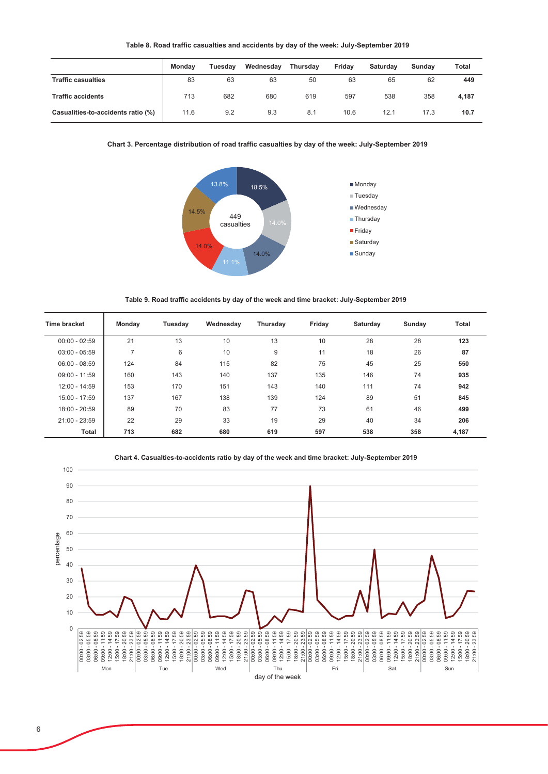|                                    | <b>Monday</b> | <b>Tuesdav</b> | Wednesdav | <b>Thursdav</b> | Fridav | <b>Saturdav</b> | Sundav | Total |
|------------------------------------|---------------|----------------|-----------|-----------------|--------|-----------------|--------|-------|
| <b>Traffic casualties</b>          | 83            | 63             | 63        | 50              | 63     | 65              | 62     | 449   |
| <b>Traffic accidents</b>           | 713           | 682            | 680       | 619             | 597    | 538             | 358    | 4,187 |
| Casualities-to-accidents ratio (%) | 11.6          | 9.2            | 9.3       | 8.1             | 10.6   | 12.1            | 17.3   | 10.7  |

#### Chart 3. Percentage distribution of road traffic casualties by day of the week: July-September 2019



Table 9. Road traffic accidents by day of the week and time bracket: July-September 2019

| Time bracket    | Monday | Tuesday | Wednesday | Thursday | Friday | Saturday | Sunday | <b>Total</b> |
|-----------------|--------|---------|-----------|----------|--------|----------|--------|--------------|
| $00:00 - 02:59$ | 21     | 13      | 10        | 13       | 10     | 28       | 28     | 123          |
| $03:00 - 05:59$ | 7      | 6       | 10        | 9        | 11     | 18       | 26     | 87           |
| $06:00 - 08:59$ | 124    | 84      | 115       | 82       | 75     | 45       | 25     | 550          |
| $09:00 - 11:59$ | 160    | 143     | 140       | 137      | 135    | 146      | 74     | 935          |
| $12:00 - 14:59$ | 153    | 170     | 151       | 143      | 140    | 111      | 74     | 942          |
| 15:00 - 17:59   | 137    | 167     | 138       | 139      | 124    | 89       | 51     | 845          |
| $18:00 - 20:59$ | 89     | 70      | 83        | 77       | 73     | 61       | 46     | 499          |
| 21:00 - 23:59   | 22     | 29      | 33        | 19       | 29     | 40       | 34     | 206          |
| Total           | 713    | 682     | 680       | 619      | 597    | 538      | 358    | 4,187        |



Chart 4. Casualties-to-accidents ratio by day of the week and time bracket: July-September 2019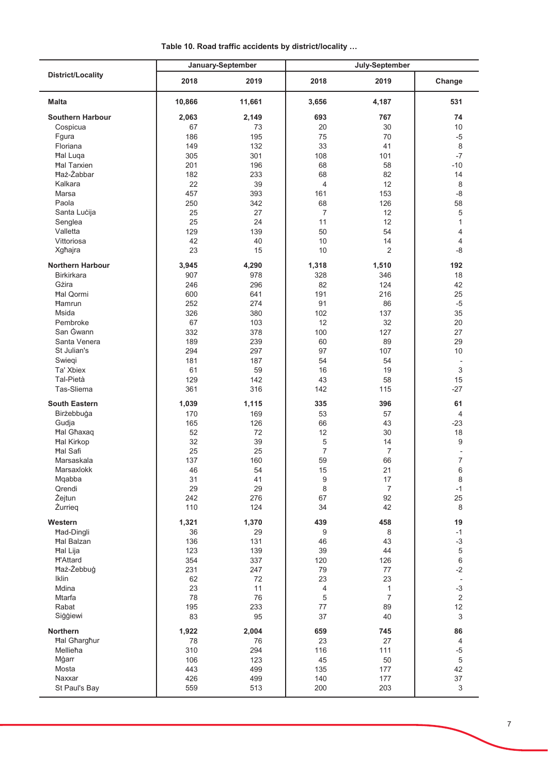| Table 10. Road traffic accidents by district/locality |  |  |  |
|-------------------------------------------------------|--|--|--|
|-------------------------------------------------------|--|--|--|

|                          |            | January-September |                          | July-September  |                           |
|--------------------------|------------|-------------------|--------------------------|-----------------|---------------------------|
| <b>District/Locality</b> | 2018       | 2019              | 2018                     | 2019            | Change                    |
| <b>Malta</b>             | 10,866     | 11,661            | 3,656                    | 4,187           | 531                       |
| <b>Southern Harbour</b>  | 2,063      | 2,149             | 693                      | 767             | 74                        |
| Cospicua                 | 67         | 73                | 20                       | 30              | 10                        |
| Fgura                    | 186        | 195               | 75                       | 70              | $-5$                      |
| Floriana                 | 149        | 132               | 33                       | 41              | $\,8\,$                   |
| Hal Luqa                 | 305        | 301               | 108                      | 101             | $-7$                      |
| <b>Hal Tarxien</b>       | 201        | 196               | 68                       | 58              | $-10$                     |
| <b>Haż-Żabbar</b>        | 182        | 233               | 68                       | 82              | 14                        |
| Kalkara                  | 22         | 39                | $\overline{\mathcal{L}}$ | 12 <sup>2</sup> | 8                         |
| Marsa                    | 457        | 393               | 161                      | 153             | $-8$                      |
| Paola                    | 250        | 342               | 68                       | 126             | 58                        |
| Santa Lucija             | 25         | 27                | $\overline{7}$           | 12 <sup>2</sup> | 5                         |
| Senglea                  | 25         | 24                | 11                       | 12              | $\mathbf{1}$              |
| Valletta                 | 129        | 139               | 50                       | 54              | 4                         |
| Vittoriosa               | 42         | 40                | 10                       | 14              | $\overline{4}$            |
| Xgħajra                  | 23         | 15                | 10                       | 2               | -8                        |
| <b>Northern Harbour</b>  | 3,945      | 4,290             | 1,318                    | 1,510           | 192                       |
| <b>Birkirkara</b>        | 907        | 978               | 328                      | 346             | 18                        |
| Gżira                    | 246        | 296               | 82                       | 124             | 42                        |
| <b>Hal Qormi</b>         | 600        | 641               | 191                      | 216             | 25                        |
| <b>Hamrun</b>            | 252        | 274               | 91                       | 86              | $-5$                      |
| Msida                    | 326        | 380               | 102                      | 137             | 35                        |
| Pembroke                 | 67         | 103               | 12                       | 32              | 20                        |
| San Gwann                | 332        | 378               | 100                      | 127             | 27                        |
| Santa Venera             | 189        | 239               | 60                       | 89              | 29                        |
| St Julian's              | 294        | 297               | 97                       | 107             | 10                        |
| Swiegi                   | 181        | 187               | 54                       | 54              |                           |
| Ta' Xbiex                | 61         | 59                | 16                       | 19              | 3                         |
| Tal-Pietà<br>Tas-Sliema  | 129<br>361 | 142<br>316        | 43<br>142                | 58<br>115       | 15<br>$-27$               |
| <b>South Eastern</b>     |            |                   | 335                      | 396             | 61                        |
| Birżebbuġa               | 1,039      | 1,115             |                          |                 |                           |
| Gudja                    | 170<br>165 | 169<br>126        | 53<br>66                 | 57<br>43        | $\overline{4}$<br>$-23$   |
| <b>Hal Ghaxaq</b>        | 52         | 72                | 12                       | 30              | 18                        |
| <b>Hal Kirkop</b>        | 32         | 39                | 5                        | 14              | 9                         |
| <b>Hal Safi</b>          | 25         | 25                | $\overline{7}$           | $\overline{7}$  |                           |
| Marsaskala               | 137        | 160               | 59                       | 66              | $\overline{7}$            |
| Marsaxlokk               | 46         | 54                | 15                       | 21              | 6                         |
| Mqabba                   | 31         | 41                | $\boldsymbol{9}$         | 17              | $\,8\,$                   |
| Qrendi                   | 29         | 29                | 8                        | $\overline{7}$  | $-1$                      |
| Żejtun                   | 242        | 276               | 67                       | 92              | 25                        |
| Żurrieg                  | 110        | 124               | 34                       | 42              | 8                         |
| Western                  | 1,321      | 1,370             | 439                      | 458             | 19                        |
| Had-Dingli               | 36         | 29                | 9                        | 8               | $-1$                      |
| <b>Hal Balzan</b>        | 136        | 131               | 46                       | 43              | $-3$                      |
| <b>Hal Lija</b>          | 123        | 139               | 39                       | 44              | $\,$ 5 $\,$               |
| <b>H'Attard</b>          | 354        | 337               | 120                      | 126             | $\,6\,$                   |
| Haż-Żebbuġ               | 231        | 247               | 79                       | 77              | $-2$                      |
| Iklin                    | 62         | 72                | 23                       | 23              |                           |
| Mdina                    | 23         | 11                | 4                        | $\mathbf{1}$    | $-3$                      |
| Mtarfa                   | 78         | 76                | 5                        | $\overline{7}$  | 2                         |
| Rabat                    | 195        | 233               | 77                       | 89              | 12                        |
| Siģģiewi                 | 83         | 95                | 37                       | 40              | 3                         |
| Northern                 | 1,922      | 2,004             | 659                      | 745             | 86                        |
| <b>Hal Gharghur</b>      | 78         | 76                | 23                       | 27              | $\overline{4}$            |
| Mellieħa                 | 310        | 294               | 116                      | 111             | $-5$                      |
| Mġarr                    | 106        | 123               | 45                       | 50              | 5                         |
| Mosta                    | 443        | 499               | 135                      | 177             | 42                        |
| Naxxar                   | 426        | 499               | 140                      | 177             | 37                        |
| St Paul's Bay            | 559        | 513               | 200                      | 203             | $\ensuremath{\mathsf{3}}$ |

Ĭ.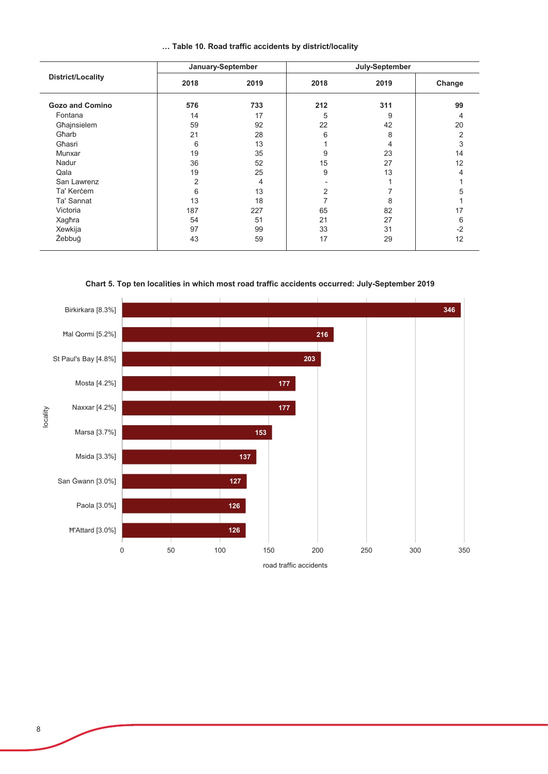|  |  |  |  |  |  |  | Table 10. Road traffic accidents by district/locality |
|--|--|--|--|--|--|--|-------------------------------------------------------|
|--|--|--|--|--|--|--|-------------------------------------------------------|

|                        |      | January-September | July-September |      |        |  |
|------------------------|------|-------------------|----------------|------|--------|--|
| District/Locality      | 2018 | 2019              | 2018           | 2019 | Change |  |
| <b>Gozo and Comino</b> | 576  | 733               | 212            | 311  | 99     |  |
| Fontana                | 14   | 17                | 5              | 9    | 4      |  |
| Għajnsielem            | 59   | 92                | 22             | 42   | 20     |  |
| Gharb                  | 21   | 28                | 6              | 8    | 2      |  |
| Għasri                 | 6    | 13                |                | 4    | 3      |  |
| Munxar                 | 19   | 35                | 9              | 23   | 14     |  |
| Nadur                  | 36   | 52                | 15             | 27   | 12     |  |
| Qala                   | 19   | 25                | 9              | 13   | 4      |  |
| San Lawrenz            | 2    | 4                 |                |      |        |  |
| Ta' Kercem             | 6    | 13                | 2              |      | 5      |  |
| Ta' Sannat             | 13   | 18                |                | 8    |        |  |
| Victoria               | 187  | 227               | 65             | 82   | 17     |  |
| Xagħra                 | 54   | 51                | 21             | 27   | 6      |  |
| Xewkija                | 97   | 99                | 33             | 31   | $-2$   |  |
| Żebbuġ                 | 43   | 59                | 17             | 29   | 12     |  |

Chart 5. Top ten localities in which most road traffic accidents occurred: July-September 2019